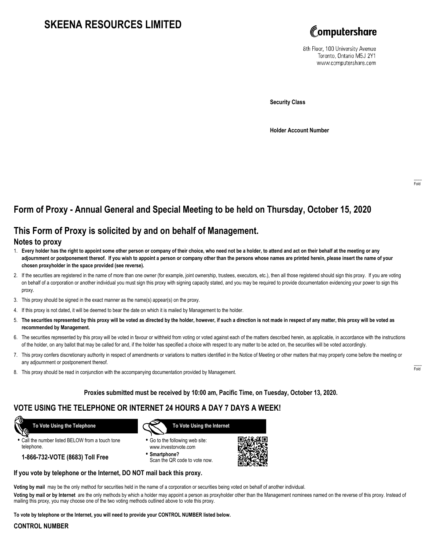# **SKEENA RESOURCES LIMITED**



8th Floor, 100 University Avenue Toronto, Ontario M5J 2Y1 www.computershare.com

**Security Class**

**Holder Account Number**

# **Form of Proxy - Annual General and Special Meeting to be held on Thursday, October 15, 2020**

## **This Form of Proxy is solicited by and on behalf of Management.**

### **Notes to proxy**

- 1. **Every holder has the right to appoint some other person or company of their choice, who need not be a holder, to attend and act on their behalf at the meeting or any adjournment or postponement thereof. If you wish to appoint a person or company other than the persons whose names are printed herein, please insert the name of your chosen proxyholder in the space provided (see reverse).**
- 2. If the securities are registered in the name of more than one owner (for example, joint ownership, trustees, executors, etc.), then all those registered should sign this proxy. If you are voting on behalf of a corporation or another individual you must sign this proxy with signing capacity stated, and you may be required to provide documentation evidencing your power to sign this proxy.
- 3. This proxy should be signed in the exact manner as the name(s) appear(s) on the proxy.
- 4. If this proxy is not dated, it will be deemed to bear the date on which it is mailed by Management to the holder.
- 5. **The securities represented by this proxy will be voted as directed by the holder, however, if such a direction is not made in respect of any matter, this proxy will be voted as recommended by Management.**
- 6. The securities represented by this proxy will be voted in favour or withheld from voting or voted against each of the matters described herein, as applicable, in accordance with the instructions of the holder, on any ballot that may be called for and, if the holder has specified a choice with respect to any matter to be acted on, the securities will be voted accordingly.
- 7. This proxy confers discretionary authority in respect of amendments or variations to matters identified in the Notice of Meeting or other matters that may properly come before the meeting or any adjournment or postponement thereof.
- 8. This proxy should be read in conjunction with the accompanying documentation provided by Management.

### **Proxies submitted must be received by 10:00 am, Pacific Time, on Tuesday, October 13, 2020.**

## **VOTE USING THE TELEPHONE OR INTERNET 24 HOURS A DAY 7 DAYS A WEEK!**

 **To Vote Using the Telephone**

- **•** Call the number listed BELOW from a touch tone telephone.
	- **1-866-732-VOTE (8683) Toll Free**



- **•** Go to the following web site: www.investorvote.com
- **• Smartphone?** Scan the QR code to vote now.



#### **If you vote by telephone or the Internet, DO NOT mail back this proxy.**

**Voting by mail** may be the only method for securities held in the name of a corporation or securities being voted on behalf of another individual.

**Voting by mail or by Internet** are the only methods by which a holder may appoint a person as proxyholder other than the Management nominees named on the reverse of this proxy. Instead of mailing this proxy, you may choose one of the two voting methods outlined above to vote this proxy.

**To vote by telephone or the Internet, you will need to provide your CONTROL NUMBER listed below.**

#### **CONTROL NUMBER**